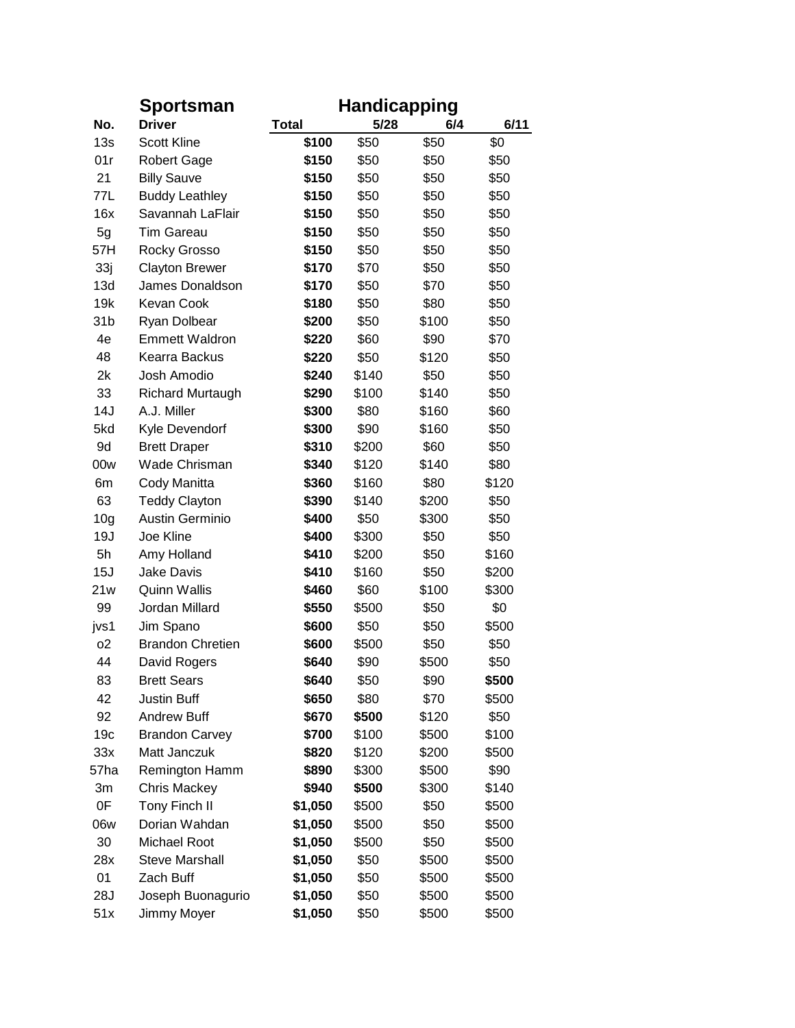|                 | <b>Sportsman</b>        | <b>Handicapping</b> |       |       |       |  |  |
|-----------------|-------------------------|---------------------|-------|-------|-------|--|--|
| No.             | <b>Driver</b>           | Total               | 5/28  | 6/4   | 6/11  |  |  |
| 13s             | <b>Scott Kline</b>      | \$100               | \$50  | \$50  | \$0   |  |  |
| 01r             | <b>Robert Gage</b>      | \$150               | \$50  | \$50  | \$50  |  |  |
| 21              | <b>Billy Sauve</b>      | \$150               | \$50  | \$50  | \$50  |  |  |
| 77L             | <b>Buddy Leathley</b>   | \$150               | \$50  | \$50  | \$50  |  |  |
| 16x             | Savannah LaFlair        | \$150               | \$50  | \$50  | \$50  |  |  |
| 5g              | <b>Tim Gareau</b>       | \$150               | \$50  | \$50  | \$50  |  |  |
| 57H             | Rocky Grosso            | \$150               | \$50  | \$50  | \$50  |  |  |
| 33j             | <b>Clayton Brewer</b>   | \$170               | \$70  | \$50  | \$50  |  |  |
| 13d             | James Donaldson         | \$170               | \$50  | \$70  | \$50  |  |  |
| 19k             | <b>Kevan Cook</b>       | \$180               | \$50  | \$80  | \$50  |  |  |
| 31 <sub>b</sub> | Ryan Dolbear            | \$200               | \$50  | \$100 | \$50  |  |  |
| 4e              | <b>Emmett Waldron</b>   | \$220               | \$60  | \$90  | \$70  |  |  |
| 48              | Kearra Backus           | \$220               | \$50  | \$120 | \$50  |  |  |
| 2k              | Josh Amodio             | \$240               | \$140 | \$50  | \$50  |  |  |
| 33              | <b>Richard Murtaugh</b> | \$290               | \$100 | \$140 | \$50  |  |  |
| 14J             | A.J. Miller             | \$300               | \$80  | \$160 | \$60  |  |  |
| 5kd             | Kyle Devendorf          | \$300               | \$90  | \$160 | \$50  |  |  |
| 9d              | <b>Brett Draper</b>     | \$310               | \$200 | \$60  | \$50  |  |  |
| 00w             | <b>Wade Chrisman</b>    | \$340               | \$120 | \$140 | \$80  |  |  |
| 6m              | Cody Manitta            | \$360               | \$160 | \$80  | \$120 |  |  |
| 63              | <b>Teddy Clayton</b>    | \$390               | \$140 | \$200 | \$50  |  |  |
| 10 <sub>g</sub> | Austin Germinio         | \$400               | \$50  | \$300 | \$50  |  |  |
| 19J             | Joe Kline               | \$400               | \$300 | \$50  | \$50  |  |  |
| 5h              | Amy Holland             | \$410               | \$200 | \$50  | \$160 |  |  |
| 15J             | <b>Jake Davis</b>       | \$410               | \$160 | \$50  | \$200 |  |  |
| 21w             | <b>Quinn Wallis</b>     | \$460               | \$60  | \$100 | \$300 |  |  |
| 99              | Jordan Millard          | \$550               | \$500 | \$50  | \$0   |  |  |
| jvs1            | Jim Spano               | \$600               | \$50  | \$50  | \$500 |  |  |
| 02              | <b>Brandon Chretien</b> | \$600               | \$500 | \$50  | \$50  |  |  |
| 44              | David Rogers            | \$640               | \$90  | \$500 | \$50  |  |  |
| 83              | <b>Brett Sears</b>      | \$640               | \$50  | \$90  | \$500 |  |  |
| 42              | <b>Justin Buff</b>      | \$650               | \$80  | \$70  | \$500 |  |  |
| 92              | <b>Andrew Buff</b>      | \$670               | \$500 | \$120 | \$50  |  |  |
| 19 <sub>c</sub> | <b>Brandon Carvey</b>   | \$700               | \$100 | \$500 | \$100 |  |  |
| 33x             | Matt Janczuk            | \$820               | \$120 | \$200 | \$500 |  |  |
| 57ha            | Remington Hamm          | \$890               | \$300 | \$500 | \$90  |  |  |
| Зm              | <b>Chris Mackey</b>     | \$940               | \$500 | \$300 | \$140 |  |  |
| 0F              | Tony Finch II           | \$1,050             | \$500 | \$50  | \$500 |  |  |
| 06w             | Dorian Wahdan           | \$1,050             | \$500 | \$50  | \$500 |  |  |
| 30              | Michael Root            | \$1,050             | \$500 | \$50  | \$500 |  |  |
| 28x             | <b>Steve Marshall</b>   | \$1,050             | \$50  | \$500 | \$500 |  |  |
| 01              | Zach Buff               | \$1,050             | \$50  | \$500 | \$500 |  |  |
| 28J             | Joseph Buonagurio       | \$1,050             | \$50  | \$500 | \$500 |  |  |
| 51x             | Jimmy Moyer             | \$1,050             | \$50  | \$500 | \$500 |  |  |